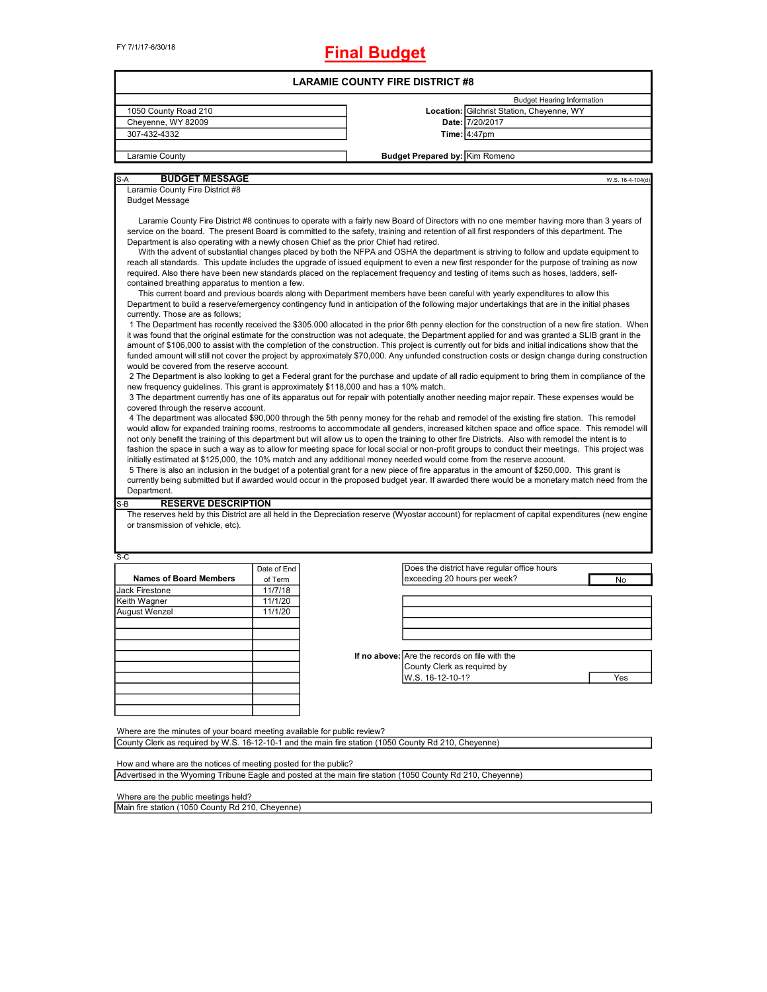# **Final Budget**

| 1050 County Road 210<br>Cheyenne, WY 82009<br>307-432-4332<br>Laramie County<br><b>BUDGET MESSAGE</b><br>S-A<br>Laramie County Fire District #8<br><b>Budget Message</b><br>Laramie County Fire District #8 continues to operate with a fairly new Board of Directors with no one member having more than 3 years of<br>service on the board. The present Board is committed to the safety, training and retention of all first responders of this department. The<br>Department is also operating with a newly chosen Chief as the prior Chief had retired.<br>With the advent of substantial changes placed by both the NFPA and OSHA the department is striving to follow and update equipment to<br>reach all standards. This update includes the upgrade of issued equipment to even a new first responder for the purpose of training as now<br>required. Also there have been new standards placed on the replacement frequency and testing of items such as hoses, ladders, self-<br>contained breathing apparatus to mention a few.<br>This current board and previous boards along with Department members have been careful with yearly expenditures to allow this<br>Department to build a reserve/emergency contingency fund in anticipation of the following major undertakings that are in the initial phases<br>currently. Those are as follows;<br>1 The Department has recently received the \$305.000 allocated in the prior 6th penny election for the construction of a new fire station. When<br>it was found that the original estimate for the construction was not adequate, the Department applied for and was granted a SLIB grant in the<br>amount of \$106,000 to assist with the completion of the construction. This project is currently out for bids and initial indications show that the<br>funded amount will still not cover the project by approximately \$70,000. Any unfunded construction costs or design change during construction<br>would be covered from the reserve account.<br>2 The Department is also looking to get a Federal grant for the purchase and update of all radio equipment to bring them in compliance of the<br>new frequency guidelines. This grant is approximately \$118,000 and has a 10% match.<br>3 The department currently has one of its apparatus out for repair with potentially another needing major repair. These expenses would be<br>covered through the reserve account.<br>4 The department was allocated \$90,000 through the 5th penny money for the rehab and remodel of the existing fire station. This remodel<br>would allow for expanded training rooms, restrooms to accommodate all genders, increased kitchen space and office space. This remodel will<br>not only benefit the training of this department but will allow us to open the training to other fire Districts. Also with remodel the intent is to<br>fashion the space in such a way as to allow for meeting space for local social or non-profit groups to conduct their meetings. This project was<br>initially estimated at \$125,000, the 10% match and any additional money needed would come from the reserve account.<br>5 There is also an inclusion in the budget of a potential grant for a new piece of fire apparatus in the amount of \$250,000. This grant is<br>currently being submitted but if awarded would occur in the proposed budget year. If awarded there would be a monetary match need from the<br>Department.<br><b>RESERVE DESCRIPTION</b><br>S-B<br>The reserves held by this District are all held in the Depreciation reserve (Wyostar account) for replacment of capital expenditures (new engine<br>or transmission of vehicle, etc).<br>S-C<br>Date of End<br><b>Names of Board Members</b><br>of Term<br>11/7/18<br>Jack Firestone<br>Keith Wagner<br>11/1/20<br>August Wenzel<br>11/1/20 |                                               |                                             |                 |
|---------------------------------------------------------------------------------------------------------------------------------------------------------------------------------------------------------------------------------------------------------------------------------------------------------------------------------------------------------------------------------------------------------------------------------------------------------------------------------------------------------------------------------------------------------------------------------------------------------------------------------------------------------------------------------------------------------------------------------------------------------------------------------------------------------------------------------------------------------------------------------------------------------------------------------------------------------------------------------------------------------------------------------------------------------------------------------------------------------------------------------------------------------------------------------------------------------------------------------------------------------------------------------------------------------------------------------------------------------------------------------------------------------------------------------------------------------------------------------------------------------------------------------------------------------------------------------------------------------------------------------------------------------------------------------------------------------------------------------------------------------------------------------------------------------------------------------------------------------------------------------------------------------------------------------------------------------------------------------------------------------------------------------------------------------------------------------------------------------------------------------------------------------------------------------------------------------------------------------------------------------------------------------------------------------------------------------------------------------------------------------------------------------------------------------------------------------------------------------------------------------------------------------------------------------------------------------------------------------------------------------------------------------------------------------------------------------------------------------------------------------------------------------------------------------------------------------------------------------------------------------------------------------------------------------------------------------------------------------------------------------------------------------------------------------------------------------------------------------------------------------------------------------------------------------------------------------------------------------------------------------------------------------------------------------------------------------------------------------------------------------------------------------------------------------------------------------------------------------------------------------------------------------------------------------------------------------------------------------------------------------------------------------------------------------------------------------------------------------------------------------------------------------------------------------------------------------------------------------------------------------------|-----------------------------------------------|---------------------------------------------|-----------------|
|                                                                                                                                                                                                                                                                                                                                                                                                                                                                                                                                                                                                                                                                                                                                                                                                                                                                                                                                                                                                                                                                                                                                                                                                                                                                                                                                                                                                                                                                                                                                                                                                                                                                                                                                                                                                                                                                                                                                                                                                                                                                                                                                                                                                                                                                                                                                                                                                                                                                                                                                                                                                                                                                                                                                                                                                                                                                                                                                                                                                                                                                                                                                                                                                                                                                                                                                                                                                                                                                                                                                                                                                                                                                                                                                                                                                                                                                                       |                                               | <b>Budget Hearing Information</b>           |                 |
|                                                                                                                                                                                                                                                                                                                                                                                                                                                                                                                                                                                                                                                                                                                                                                                                                                                                                                                                                                                                                                                                                                                                                                                                                                                                                                                                                                                                                                                                                                                                                                                                                                                                                                                                                                                                                                                                                                                                                                                                                                                                                                                                                                                                                                                                                                                                                                                                                                                                                                                                                                                                                                                                                                                                                                                                                                                                                                                                                                                                                                                                                                                                                                                                                                                                                                                                                                                                                                                                                                                                                                                                                                                                                                                                                                                                                                                                                       |                                               | Location: Gilchrist Station, Cheyenne, WY   |                 |
|                                                                                                                                                                                                                                                                                                                                                                                                                                                                                                                                                                                                                                                                                                                                                                                                                                                                                                                                                                                                                                                                                                                                                                                                                                                                                                                                                                                                                                                                                                                                                                                                                                                                                                                                                                                                                                                                                                                                                                                                                                                                                                                                                                                                                                                                                                                                                                                                                                                                                                                                                                                                                                                                                                                                                                                                                                                                                                                                                                                                                                                                                                                                                                                                                                                                                                                                                                                                                                                                                                                                                                                                                                                                                                                                                                                                                                                                                       |                                               | Date: 7/20/2017                             |                 |
|                                                                                                                                                                                                                                                                                                                                                                                                                                                                                                                                                                                                                                                                                                                                                                                                                                                                                                                                                                                                                                                                                                                                                                                                                                                                                                                                                                                                                                                                                                                                                                                                                                                                                                                                                                                                                                                                                                                                                                                                                                                                                                                                                                                                                                                                                                                                                                                                                                                                                                                                                                                                                                                                                                                                                                                                                                                                                                                                                                                                                                                                                                                                                                                                                                                                                                                                                                                                                                                                                                                                                                                                                                                                                                                                                                                                                                                                                       |                                               | <b>Time: 4:47pm</b>                         |                 |
|                                                                                                                                                                                                                                                                                                                                                                                                                                                                                                                                                                                                                                                                                                                                                                                                                                                                                                                                                                                                                                                                                                                                                                                                                                                                                                                                                                                                                                                                                                                                                                                                                                                                                                                                                                                                                                                                                                                                                                                                                                                                                                                                                                                                                                                                                                                                                                                                                                                                                                                                                                                                                                                                                                                                                                                                                                                                                                                                                                                                                                                                                                                                                                                                                                                                                                                                                                                                                                                                                                                                                                                                                                                                                                                                                                                                                                                                                       |                                               |                                             |                 |
|                                                                                                                                                                                                                                                                                                                                                                                                                                                                                                                                                                                                                                                                                                                                                                                                                                                                                                                                                                                                                                                                                                                                                                                                                                                                                                                                                                                                                                                                                                                                                                                                                                                                                                                                                                                                                                                                                                                                                                                                                                                                                                                                                                                                                                                                                                                                                                                                                                                                                                                                                                                                                                                                                                                                                                                                                                                                                                                                                                                                                                                                                                                                                                                                                                                                                                                                                                                                                                                                                                                                                                                                                                                                                                                                                                                                                                                                                       | <b>Budget Prepared by: Kim Romeno</b>         |                                             |                 |
|                                                                                                                                                                                                                                                                                                                                                                                                                                                                                                                                                                                                                                                                                                                                                                                                                                                                                                                                                                                                                                                                                                                                                                                                                                                                                                                                                                                                                                                                                                                                                                                                                                                                                                                                                                                                                                                                                                                                                                                                                                                                                                                                                                                                                                                                                                                                                                                                                                                                                                                                                                                                                                                                                                                                                                                                                                                                                                                                                                                                                                                                                                                                                                                                                                                                                                                                                                                                                                                                                                                                                                                                                                                                                                                                                                                                                                                                                       |                                               |                                             | W.S. 16-4-104(d |
|                                                                                                                                                                                                                                                                                                                                                                                                                                                                                                                                                                                                                                                                                                                                                                                                                                                                                                                                                                                                                                                                                                                                                                                                                                                                                                                                                                                                                                                                                                                                                                                                                                                                                                                                                                                                                                                                                                                                                                                                                                                                                                                                                                                                                                                                                                                                                                                                                                                                                                                                                                                                                                                                                                                                                                                                                                                                                                                                                                                                                                                                                                                                                                                                                                                                                                                                                                                                                                                                                                                                                                                                                                                                                                                                                                                                                                                                                       |                                               |                                             |                 |
|                                                                                                                                                                                                                                                                                                                                                                                                                                                                                                                                                                                                                                                                                                                                                                                                                                                                                                                                                                                                                                                                                                                                                                                                                                                                                                                                                                                                                                                                                                                                                                                                                                                                                                                                                                                                                                                                                                                                                                                                                                                                                                                                                                                                                                                                                                                                                                                                                                                                                                                                                                                                                                                                                                                                                                                                                                                                                                                                                                                                                                                                                                                                                                                                                                                                                                                                                                                                                                                                                                                                                                                                                                                                                                                                                                                                                                                                                       |                                               |                                             |                 |
|                                                                                                                                                                                                                                                                                                                                                                                                                                                                                                                                                                                                                                                                                                                                                                                                                                                                                                                                                                                                                                                                                                                                                                                                                                                                                                                                                                                                                                                                                                                                                                                                                                                                                                                                                                                                                                                                                                                                                                                                                                                                                                                                                                                                                                                                                                                                                                                                                                                                                                                                                                                                                                                                                                                                                                                                                                                                                                                                                                                                                                                                                                                                                                                                                                                                                                                                                                                                                                                                                                                                                                                                                                                                                                                                                                                                                                                                                       |                                               |                                             |                 |
|                                                                                                                                                                                                                                                                                                                                                                                                                                                                                                                                                                                                                                                                                                                                                                                                                                                                                                                                                                                                                                                                                                                                                                                                                                                                                                                                                                                                                                                                                                                                                                                                                                                                                                                                                                                                                                                                                                                                                                                                                                                                                                                                                                                                                                                                                                                                                                                                                                                                                                                                                                                                                                                                                                                                                                                                                                                                                                                                                                                                                                                                                                                                                                                                                                                                                                                                                                                                                                                                                                                                                                                                                                                                                                                                                                                                                                                                                       |                                               |                                             |                 |
|                                                                                                                                                                                                                                                                                                                                                                                                                                                                                                                                                                                                                                                                                                                                                                                                                                                                                                                                                                                                                                                                                                                                                                                                                                                                                                                                                                                                                                                                                                                                                                                                                                                                                                                                                                                                                                                                                                                                                                                                                                                                                                                                                                                                                                                                                                                                                                                                                                                                                                                                                                                                                                                                                                                                                                                                                                                                                                                                                                                                                                                                                                                                                                                                                                                                                                                                                                                                                                                                                                                                                                                                                                                                                                                                                                                                                                                                                       |                                               |                                             |                 |
|                                                                                                                                                                                                                                                                                                                                                                                                                                                                                                                                                                                                                                                                                                                                                                                                                                                                                                                                                                                                                                                                                                                                                                                                                                                                                                                                                                                                                                                                                                                                                                                                                                                                                                                                                                                                                                                                                                                                                                                                                                                                                                                                                                                                                                                                                                                                                                                                                                                                                                                                                                                                                                                                                                                                                                                                                                                                                                                                                                                                                                                                                                                                                                                                                                                                                                                                                                                                                                                                                                                                                                                                                                                                                                                                                                                                                                                                                       |                                               |                                             |                 |
|                                                                                                                                                                                                                                                                                                                                                                                                                                                                                                                                                                                                                                                                                                                                                                                                                                                                                                                                                                                                                                                                                                                                                                                                                                                                                                                                                                                                                                                                                                                                                                                                                                                                                                                                                                                                                                                                                                                                                                                                                                                                                                                                                                                                                                                                                                                                                                                                                                                                                                                                                                                                                                                                                                                                                                                                                                                                                                                                                                                                                                                                                                                                                                                                                                                                                                                                                                                                                                                                                                                                                                                                                                                                                                                                                                                                                                                                                       |                                               |                                             |                 |
|                                                                                                                                                                                                                                                                                                                                                                                                                                                                                                                                                                                                                                                                                                                                                                                                                                                                                                                                                                                                                                                                                                                                                                                                                                                                                                                                                                                                                                                                                                                                                                                                                                                                                                                                                                                                                                                                                                                                                                                                                                                                                                                                                                                                                                                                                                                                                                                                                                                                                                                                                                                                                                                                                                                                                                                                                                                                                                                                                                                                                                                                                                                                                                                                                                                                                                                                                                                                                                                                                                                                                                                                                                                                                                                                                                                                                                                                                       |                                               | Does the district have regular office hours |                 |
|                                                                                                                                                                                                                                                                                                                                                                                                                                                                                                                                                                                                                                                                                                                                                                                                                                                                                                                                                                                                                                                                                                                                                                                                                                                                                                                                                                                                                                                                                                                                                                                                                                                                                                                                                                                                                                                                                                                                                                                                                                                                                                                                                                                                                                                                                                                                                                                                                                                                                                                                                                                                                                                                                                                                                                                                                                                                                                                                                                                                                                                                                                                                                                                                                                                                                                                                                                                                                                                                                                                                                                                                                                                                                                                                                                                                                                                                                       | exceeding 20 hours per week?                  |                                             | No              |
|                                                                                                                                                                                                                                                                                                                                                                                                                                                                                                                                                                                                                                                                                                                                                                                                                                                                                                                                                                                                                                                                                                                                                                                                                                                                                                                                                                                                                                                                                                                                                                                                                                                                                                                                                                                                                                                                                                                                                                                                                                                                                                                                                                                                                                                                                                                                                                                                                                                                                                                                                                                                                                                                                                                                                                                                                                                                                                                                                                                                                                                                                                                                                                                                                                                                                                                                                                                                                                                                                                                                                                                                                                                                                                                                                                                                                                                                                       |                                               |                                             |                 |
|                                                                                                                                                                                                                                                                                                                                                                                                                                                                                                                                                                                                                                                                                                                                                                                                                                                                                                                                                                                                                                                                                                                                                                                                                                                                                                                                                                                                                                                                                                                                                                                                                                                                                                                                                                                                                                                                                                                                                                                                                                                                                                                                                                                                                                                                                                                                                                                                                                                                                                                                                                                                                                                                                                                                                                                                                                                                                                                                                                                                                                                                                                                                                                                                                                                                                                                                                                                                                                                                                                                                                                                                                                                                                                                                                                                                                                                                                       |                                               |                                             |                 |
|                                                                                                                                                                                                                                                                                                                                                                                                                                                                                                                                                                                                                                                                                                                                                                                                                                                                                                                                                                                                                                                                                                                                                                                                                                                                                                                                                                                                                                                                                                                                                                                                                                                                                                                                                                                                                                                                                                                                                                                                                                                                                                                                                                                                                                                                                                                                                                                                                                                                                                                                                                                                                                                                                                                                                                                                                                                                                                                                                                                                                                                                                                                                                                                                                                                                                                                                                                                                                                                                                                                                                                                                                                                                                                                                                                                                                                                                                       |                                               |                                             |                 |
|                                                                                                                                                                                                                                                                                                                                                                                                                                                                                                                                                                                                                                                                                                                                                                                                                                                                                                                                                                                                                                                                                                                                                                                                                                                                                                                                                                                                                                                                                                                                                                                                                                                                                                                                                                                                                                                                                                                                                                                                                                                                                                                                                                                                                                                                                                                                                                                                                                                                                                                                                                                                                                                                                                                                                                                                                                                                                                                                                                                                                                                                                                                                                                                                                                                                                                                                                                                                                                                                                                                                                                                                                                                                                                                                                                                                                                                                                       |                                               |                                             |                 |
|                                                                                                                                                                                                                                                                                                                                                                                                                                                                                                                                                                                                                                                                                                                                                                                                                                                                                                                                                                                                                                                                                                                                                                                                                                                                                                                                                                                                                                                                                                                                                                                                                                                                                                                                                                                                                                                                                                                                                                                                                                                                                                                                                                                                                                                                                                                                                                                                                                                                                                                                                                                                                                                                                                                                                                                                                                                                                                                                                                                                                                                                                                                                                                                                                                                                                                                                                                                                                                                                                                                                                                                                                                                                                                                                                                                                                                                                                       |                                               |                                             |                 |
|                                                                                                                                                                                                                                                                                                                                                                                                                                                                                                                                                                                                                                                                                                                                                                                                                                                                                                                                                                                                                                                                                                                                                                                                                                                                                                                                                                                                                                                                                                                                                                                                                                                                                                                                                                                                                                                                                                                                                                                                                                                                                                                                                                                                                                                                                                                                                                                                                                                                                                                                                                                                                                                                                                                                                                                                                                                                                                                                                                                                                                                                                                                                                                                                                                                                                                                                                                                                                                                                                                                                                                                                                                                                                                                                                                                                                                                                                       |                                               |                                             |                 |
|                                                                                                                                                                                                                                                                                                                                                                                                                                                                                                                                                                                                                                                                                                                                                                                                                                                                                                                                                                                                                                                                                                                                                                                                                                                                                                                                                                                                                                                                                                                                                                                                                                                                                                                                                                                                                                                                                                                                                                                                                                                                                                                                                                                                                                                                                                                                                                                                                                                                                                                                                                                                                                                                                                                                                                                                                                                                                                                                                                                                                                                                                                                                                                                                                                                                                                                                                                                                                                                                                                                                                                                                                                                                                                                                                                                                                                                                                       | If no above: Are the records on file with the |                                             |                 |
|                                                                                                                                                                                                                                                                                                                                                                                                                                                                                                                                                                                                                                                                                                                                                                                                                                                                                                                                                                                                                                                                                                                                                                                                                                                                                                                                                                                                                                                                                                                                                                                                                                                                                                                                                                                                                                                                                                                                                                                                                                                                                                                                                                                                                                                                                                                                                                                                                                                                                                                                                                                                                                                                                                                                                                                                                                                                                                                                                                                                                                                                                                                                                                                                                                                                                                                                                                                                                                                                                                                                                                                                                                                                                                                                                                                                                                                                                       | County Clerk as required by                   |                                             |                 |
|                                                                                                                                                                                                                                                                                                                                                                                                                                                                                                                                                                                                                                                                                                                                                                                                                                                                                                                                                                                                                                                                                                                                                                                                                                                                                                                                                                                                                                                                                                                                                                                                                                                                                                                                                                                                                                                                                                                                                                                                                                                                                                                                                                                                                                                                                                                                                                                                                                                                                                                                                                                                                                                                                                                                                                                                                                                                                                                                                                                                                                                                                                                                                                                                                                                                                                                                                                                                                                                                                                                                                                                                                                                                                                                                                                                                                                                                                       | W.S. 16-12-10-1?                              |                                             | Yes             |
|                                                                                                                                                                                                                                                                                                                                                                                                                                                                                                                                                                                                                                                                                                                                                                                                                                                                                                                                                                                                                                                                                                                                                                                                                                                                                                                                                                                                                                                                                                                                                                                                                                                                                                                                                                                                                                                                                                                                                                                                                                                                                                                                                                                                                                                                                                                                                                                                                                                                                                                                                                                                                                                                                                                                                                                                                                                                                                                                                                                                                                                                                                                                                                                                                                                                                                                                                                                                                                                                                                                                                                                                                                                                                                                                                                                                                                                                                       |                                               |                                             |                 |
|                                                                                                                                                                                                                                                                                                                                                                                                                                                                                                                                                                                                                                                                                                                                                                                                                                                                                                                                                                                                                                                                                                                                                                                                                                                                                                                                                                                                                                                                                                                                                                                                                                                                                                                                                                                                                                                                                                                                                                                                                                                                                                                                                                                                                                                                                                                                                                                                                                                                                                                                                                                                                                                                                                                                                                                                                                                                                                                                                                                                                                                                                                                                                                                                                                                                                                                                                                                                                                                                                                                                                                                                                                                                                                                                                                                                                                                                                       |                                               |                                             |                 |
|                                                                                                                                                                                                                                                                                                                                                                                                                                                                                                                                                                                                                                                                                                                                                                                                                                                                                                                                                                                                                                                                                                                                                                                                                                                                                                                                                                                                                                                                                                                                                                                                                                                                                                                                                                                                                                                                                                                                                                                                                                                                                                                                                                                                                                                                                                                                                                                                                                                                                                                                                                                                                                                                                                                                                                                                                                                                                                                                                                                                                                                                                                                                                                                                                                                                                                                                                                                                                                                                                                                                                                                                                                                                                                                                                                                                                                                                                       |                                               |                                             |                 |
|                                                                                                                                                                                                                                                                                                                                                                                                                                                                                                                                                                                                                                                                                                                                                                                                                                                                                                                                                                                                                                                                                                                                                                                                                                                                                                                                                                                                                                                                                                                                                                                                                                                                                                                                                                                                                                                                                                                                                                                                                                                                                                                                                                                                                                                                                                                                                                                                                                                                                                                                                                                                                                                                                                                                                                                                                                                                                                                                                                                                                                                                                                                                                                                                                                                                                                                                                                                                                                                                                                                                                                                                                                                                                                                                                                                                                                                                                       |                                               |                                             |                 |
| Where are the minutes of your board meeting available for public review?                                                                                                                                                                                                                                                                                                                                                                                                                                                                                                                                                                                                                                                                                                                                                                                                                                                                                                                                                                                                                                                                                                                                                                                                                                                                                                                                                                                                                                                                                                                                                                                                                                                                                                                                                                                                                                                                                                                                                                                                                                                                                                                                                                                                                                                                                                                                                                                                                                                                                                                                                                                                                                                                                                                                                                                                                                                                                                                                                                                                                                                                                                                                                                                                                                                                                                                                                                                                                                                                                                                                                                                                                                                                                                                                                                                                              |                                               |                                             |                 |
| County Clerk as required by W.S. 16-12-10-1 and the main fire station (1050 County Rd 210, Cheyenne)                                                                                                                                                                                                                                                                                                                                                                                                                                                                                                                                                                                                                                                                                                                                                                                                                                                                                                                                                                                                                                                                                                                                                                                                                                                                                                                                                                                                                                                                                                                                                                                                                                                                                                                                                                                                                                                                                                                                                                                                                                                                                                                                                                                                                                                                                                                                                                                                                                                                                                                                                                                                                                                                                                                                                                                                                                                                                                                                                                                                                                                                                                                                                                                                                                                                                                                                                                                                                                                                                                                                                                                                                                                                                                                                                                                  |                                               |                                             |                 |

How and where are the notices of meeting posted for the public? Advertised in the Wyoming Tribune Eagle and posted at the main fire station (1050 County Rd 210, Cheyenne)

Where are the public meetings held?

Main fire station (1050 County Rd 210, Cheyenne)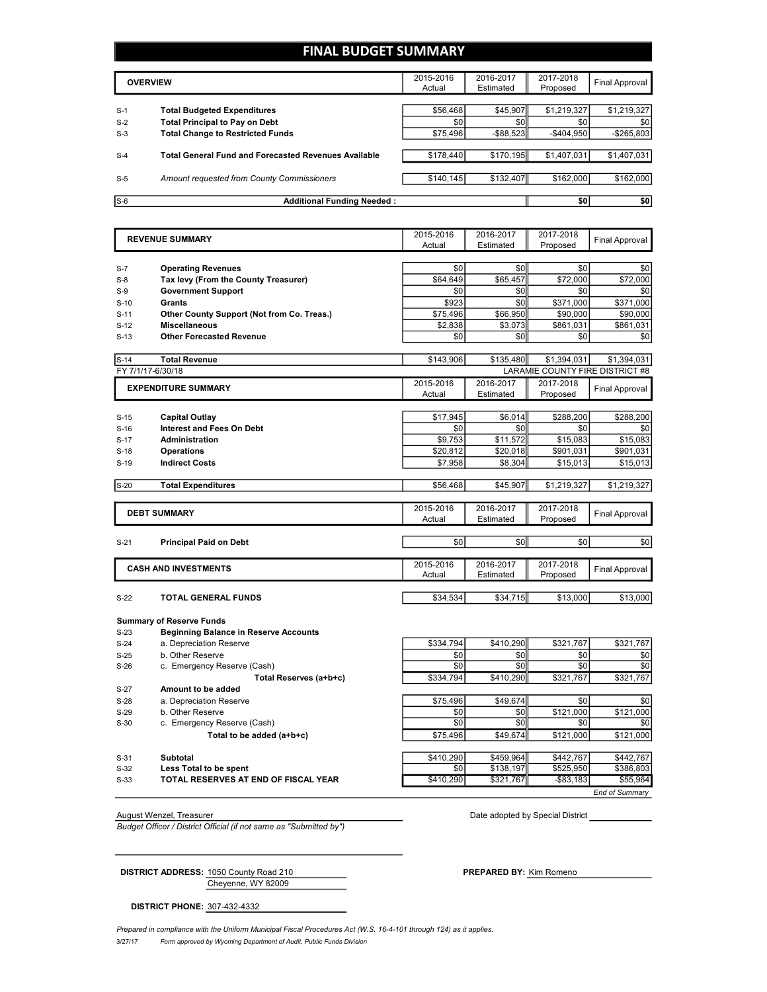# **FINAL BUDGET SUMMARY**

|       | <b>OVERVIEW</b>                                             | 2015-2016<br>Actual | 2016-2017<br>Estimated | 2017-2018<br>Proposed | Final Approval |
|-------|-------------------------------------------------------------|---------------------|------------------------|-----------------------|----------------|
| $S-1$ | <b>Total Budgeted Expenditures</b>                          | \$56,468            | \$45,907               | \$1,219,327           | \$1,219,327    |
| $S-2$ | <b>Total Principal to Pay on Debt</b>                       | \$0                 | \$0                    | \$0                   | \$0            |
| $S-3$ | <b>Total Change to Restricted Funds</b>                     | \$75,496            | $-$ \$88.523           | $-$ \$404.950         | $-$265,803$    |
| $S-4$ | <b>Total General Fund and Forecasted Revenues Available</b> | \$178,440           | \$170,195              | \$1,407,031           | \$1,407,031    |
| $S-5$ | Amount requested from County Commissioners                  | \$140,145           | \$132,407              | \$162,000             | \$162,000      |
| $S-6$ | <b>Additional Funding Needed:</b>                           |                     |                        | \$0                   | \$0            |

| <b>REVENUE SUMMARY</b> |                                              | 2015-2016 | 2016-2017 | 2017-2018                       | <b>Final Approval</b> |
|------------------------|----------------------------------------------|-----------|-----------|---------------------------------|-----------------------|
|                        |                                              | Actual    | Estimated | Proposed                        |                       |
|                        |                                              |           |           |                                 |                       |
| $S-7$                  | <b>Operating Revenues</b>                    | \$0       | \$0       | \$0                             | \$0                   |
| $S-8$                  | Tax levy (From the County Treasurer)         | \$64,649  | \$65,457  | \$72,000                        | \$72,000              |
| $S-9$                  | <b>Government Support</b>                    | \$0       | \$0       | \$0                             | \$0                   |
| $S-10$                 | Grants                                       | \$923     | \$0       | \$371,000                       | \$371,000             |
| $S-11$                 | Other County Support (Not from Co. Treas.)   | \$75,496  | \$66,950  | \$90.000                        | \$90,000              |
| $S-12$                 | <b>Miscellaneous</b>                         | \$2.838   | \$3.073   | \$861.031                       | \$861.031             |
| $S-13$                 | <b>Other Forecasted Revenue</b>              | \$0       | \$0       | \$0                             | \$0                   |
|                        |                                              |           |           |                                 |                       |
| $S-14$                 | <b>Total Revenue</b>                         | \$143,906 | \$135,480 | \$1,394,031                     | \$1,394,031           |
| FY 7/1/17-6/30/18      |                                              |           |           | LARAMIE COUNTY FIRE DISTRICT #8 |                       |
|                        | <b>EXPENDITURE SUMMARY</b>                   | 2015-2016 | 2016-2017 | 2017-2018                       | Final Approval        |
|                        |                                              | Actual    | Estimated | Proposed                        |                       |
|                        |                                              |           |           |                                 |                       |
| $S-15$                 | <b>Capital Outlay</b>                        | \$17,945  | \$6,014   | \$288,200                       | \$288,200             |
| $S-16$                 | <b>Interest and Fees On Debt</b>             | \$0       | \$0       | \$0                             | \$0                   |
| $S-17$                 | <b>Administration</b>                        | \$9,753   | \$11,572  | \$15,083                        | \$15,083              |
| $S-18$                 | <b>Operations</b>                            | \$20,812  | \$20,018  | \$901,031                       | \$901,031             |
| $S-19$                 | <b>Indirect Costs</b>                        | \$7,958   | \$8,304   | \$15,013                        | \$15,013              |
| $S-20$                 | <b>Total Expenditures</b>                    | \$56.468  | \$45.907  | \$1,219,327                     | \$1,219,327           |
|                        |                                              |           |           |                                 |                       |
|                        |                                              | 2015-2016 | 2016-2017 | 2017-2018                       |                       |
|                        | <b>DEBT SUMMARY</b>                          | Actual    | Estimated | Proposed                        | <b>Final Approval</b> |
|                        |                                              |           |           |                                 |                       |
| $S-21$                 | <b>Principal Paid on Debt</b>                | \$0       | \$0       | \$0                             | \$0                   |
|                        |                                              |           |           |                                 |                       |
|                        | <b>CASH AND INVESTMENTS</b>                  | 2015-2016 | 2016-2017 | 2017-2018                       |                       |
|                        |                                              | Actual    | Estimated | Proposed                        | <b>Final Approval</b> |
|                        |                                              |           |           |                                 |                       |
| $S-22$                 | <b>TOTAL GENERAL FUNDS</b>                   | \$34,534  | \$34,715  | \$13,000                        | \$13,000              |
|                        |                                              |           |           |                                 |                       |
|                        | <b>Summary of Reserve Funds</b>              |           |           |                                 |                       |
| $S-23$                 | <b>Beginning Balance in Reserve Accounts</b> |           |           |                                 |                       |
| $S-24$                 | a. Depreciation Reserve                      | \$334,794 | \$410,290 | \$321,767                       | \$321,767             |
| $S-25$                 | b. Other Reserve                             | \$0       | \$0       | \$0                             | \$0                   |
| $S-26$                 | c. Emergency Reserve (Cash)                  | \$0       | \$0       | \$0                             | \$0                   |
|                        | Total Reserves (a+b+c)                       | \$334.794 | \$410.290 | \$321,767                       | \$321,767             |
| $S-27$                 | Amount to be added                           |           |           |                                 |                       |
| $S-28$                 | a. Depreciation Reserve                      | \$75.496  | \$49.674  | \$0                             | \$0                   |
| $S-29$                 | b. Other Reserve                             | \$0       | \$0       | \$121,000                       | \$121,000             |
| $S-30$                 | c. Emergency Reserve (Cash)                  | \$0       | \$0       | \$0                             | \$0                   |
|                        | Total to be added (a+b+c)                    | \$75,496  | \$49,674  | \$121,000                       | \$121,000             |
|                        |                                              |           |           |                                 |                       |
|                        |                                              |           |           |                                 |                       |

S-31 **Subtotal** \$459,964 \$442,767 \$442,767 S-32 **Less Total to be spent** \$0 \$138,197 \$525,950 \$386,803

S-33 **TOTAL RESERVES AT END OF FISCAL YEAR** \$410,290 \$321,767 -\$83,183 \$55,964

August Wenzel, Treasurer Date adopted by Special District

*Budget Officer / District Official (if not same as "Submitted by")*

*End of Summary*

Cheyenne, WY 82009 **DISTRICT ADDRESS:** 1050 County Road 210 **PREPARED BY:** Kim Romeno

**DISTRICT PHONE:** 307-432-4332

3/27/17 *Form approved by Wyoming Department of Audit, Public Funds Division* Prepared in compliance with the Uniform Municipal Fiscal Procedures Act (W.S. 16-4-101 through 124) as it applies.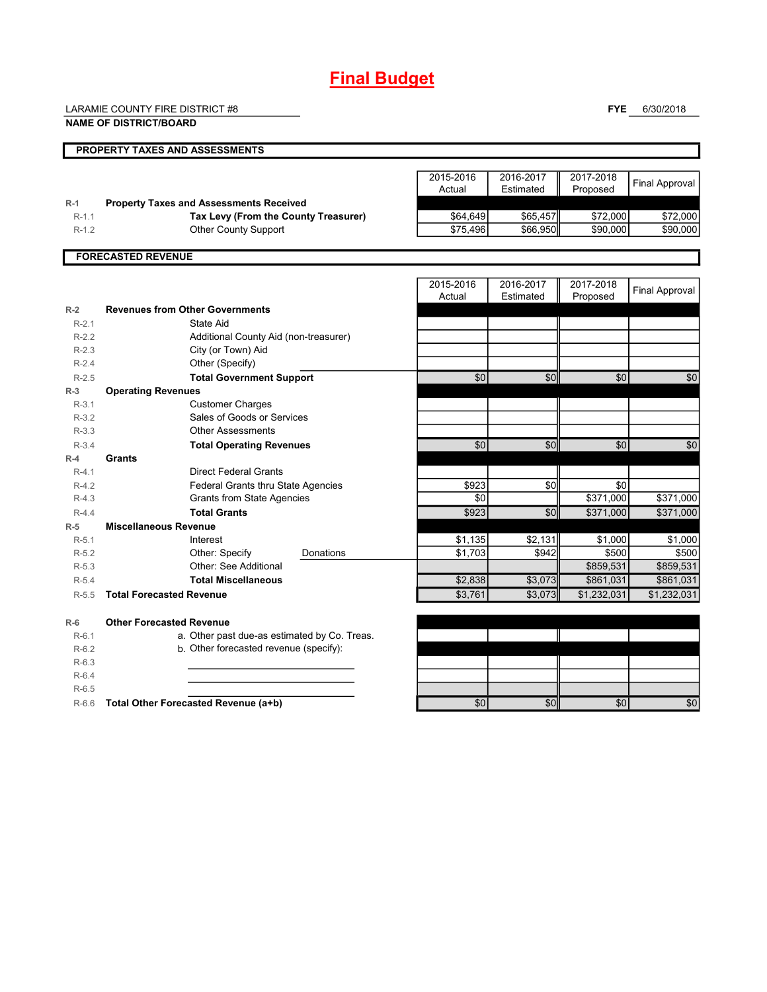# **Final Budget**

LARAMIE COUNTY FIRE DISTRICT #8

**NAME OF DISTRICT/BOARD**

**FYE** 6/30/2018

|           | PROPERTY TAXES AND ASSESSMENTS                 |                     |                        |                       |                       |
|-----------|------------------------------------------------|---------------------|------------------------|-----------------------|-----------------------|
|           |                                                | 2015-2016<br>Actual | 2016-2017<br>Estimated | 2017-2018<br>Proposed | <b>Final Approval</b> |
| $R-1$     | <b>Property Taxes and Assessments Received</b> |                     |                        |                       |                       |
| $R-1.1$   | Tax Levy (From the County Treasurer)           | \$64,649            | \$65,457               | \$72,000              | \$72,000              |
| $R-1.2$   | <b>Other County Support</b>                    | \$75,496            | \$66,950               | \$90,000              | \$90,000              |
|           | <b>FORECASTED REVENUE</b>                      |                     |                        |                       |                       |
|           |                                                | 2015-2016<br>Actual | 2016-2017<br>Estimated | 2017-2018<br>Proposed | <b>Final Approval</b> |
| $R-2$     | <b>Revenues from Other Governments</b>         |                     |                        |                       |                       |
| $R-2.1$   | State Aid                                      |                     |                        |                       |                       |
| $R-2.2$   | Additional County Aid (non-treasurer)          |                     |                        |                       |                       |
| $R-2.3$   | City (or Town) Aid                             |                     |                        |                       |                       |
| $R-2.4$   | Other (Specify)                                |                     |                        |                       |                       |
| $R - 2.5$ | <b>Total Government Support</b>                | \$0                 | \$0                    | \$0                   | \$0                   |
| $R-3$     | <b>Operating Revenues</b>                      |                     |                        |                       |                       |
| $R-3.1$   | <b>Customer Charges</b>                        |                     |                        |                       |                       |
| $R-3.2$   | Sales of Goods or Services                     |                     |                        |                       |                       |
| $R-3.3$   | <b>Other Assessments</b>                       |                     |                        |                       |                       |
| $R-3.4$   | <b>Total Operating Revenues</b>                | \$0                 | \$0                    | \$0                   | \$0                   |
| $R-4$     | Grants                                         |                     |                        |                       |                       |

R-4.2 **Federal Grants thru State Agencies 1988 \$923 \$0** \$0 \$0

Donations

 $R-4.3$  Grants from State Agencies  $R-4.3$  \$371,000 \$371,000 \$371,000 R-4.4 **Total Grants \$923 \$923 \$0 \$371,000 \$371,000 \$371,000** 

R-5.1 Interest \$1,135 \$2,131 \$1,000 \$1,000 R-5.2 **Burge Other: Specify Bonations 1994,703** \$942 \$500 \$500 \$500 \$500 R-5.3 \$859,531 \$859,531 Other: See Additional

| $R-5.4$ | <b>Total Miscellaneous</b>                   | \$2,838 | \$3.073 | \$861,031   | \$861,031   |
|---------|----------------------------------------------|---------|---------|-------------|-------------|
| $R-5.5$ | <b>Total Forecasted Revenue</b>              | \$3,761 | \$3,073 | \$1,232,031 | \$1,232,031 |
|         |                                              |         |         |             |             |
| $R-6$   | <b>Other Forecasted Revenue</b>              |         |         |             |             |
| $R-6.1$ | a. Other past due-as estimated by Co. Treas. |         |         |             |             |
| $R-6.2$ | b. Other forecasted revenue (specify):       |         |         |             |             |
| $R-6.3$ |                                              |         |         |             |             |
| $R-6.4$ |                                              |         |         |             |             |
| $R-6.5$ |                                              |         |         |             |             |
| $R-6.6$ | Total Other Forecasted Revenue (a+b)         | \$0     | \$0     | \$0         | \$0         |
|         |                                              |         |         |             |             |

R-4.1 **Direct Federal Grants** 

Interest Other: Specify

**R-5 Miscellaneous Revenue**

| \$0 | $\mathbf{r}$ | 60 |
|-----|--------------|----|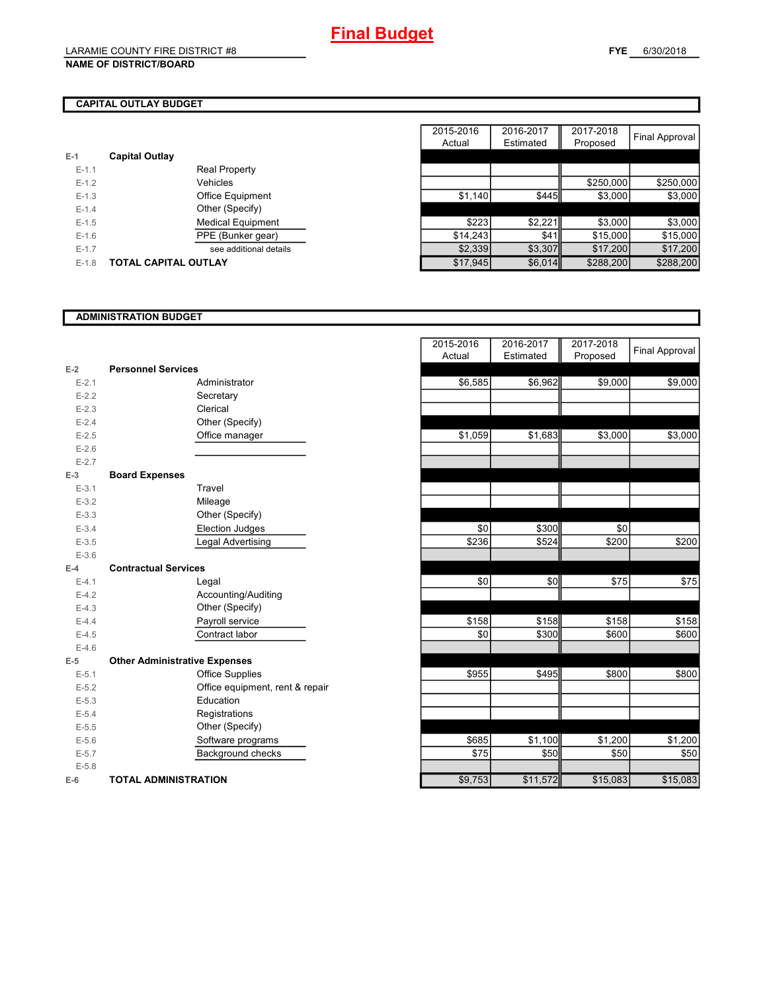## **NAME OF DISTRICT/BOARD**

# **CAPITAL OUTLAY BUDGET**

| $E-1$     | <b>Capital Outlay</b> |                          |
|-----------|-----------------------|--------------------------|
| $E - 1.1$ |                       | Real Property            |
| $F-12$    |                       | Vehicles                 |
| $F-1.3$   |                       | <b>Office Equipment</b>  |
| $F-14$    |                       | Other (Specify)          |
| $F-1.5$   |                       | <b>Medical Equipment</b> |
| $F-16$    |                       | PPE (Bunker gear)        |
| $F-17$    |                       | see additional details   |
| $F-1.8$   | TOTAL CAPITAL OUTLAY  |                          |
|           |                       |                          |

|         |                             |                          | 2015-2016 | 2016-2017 | 2017-2018 |                |
|---------|-----------------------------|--------------------------|-----------|-----------|-----------|----------------|
|         |                             |                          | Actual    | Estimated | Proposed  | Final Approval |
|         | <b>Capital Outlay</b>       |                          |           |           |           |                |
| $E-1.1$ |                             | <b>Real Property</b>     |           |           |           |                |
| $E-1.2$ |                             | Vehicles                 |           |           | \$250,000 | \$250,000      |
| $E-1.3$ |                             | <b>Office Equipment</b>  | \$1,140   | \$445     | \$3,000   | \$3,000        |
| $E-1.4$ |                             | Other (Specify)          |           |           |           |                |
| $E-1.5$ |                             | <b>Medical Equipment</b> | \$223     | \$2,221   | \$3,000   | \$3,000        |
| $E-1.6$ |                             | PPE (Bunker gear)        | \$14,243  | \$41      | \$15,000  | \$15,000       |
| $E-1.7$ |                             | see additional details   | \$2,339   | \$3,307   | \$17,200  | \$17,200       |
| $E-1.8$ | <b>TOTAL CAPITAL OUTLAY</b> |                          | \$17,945  | \$6,014   | \$288,200 | \$288,200      |

## **ADMINISTRATION BUDGET**

|           |                                      |                                 | , , , , , , , , , | $-0.00000$ | . . opoood |
|-----------|--------------------------------------|---------------------------------|-------------------|------------|------------|
| $E-2$     | <b>Personnel Services</b>            |                                 |                   |            |            |
| $E - 2.1$ |                                      | Administrator                   | \$6,585           | \$6,962    | \$9,000    |
| $E-2.2$   |                                      | Secretary                       |                   |            |            |
| $E-2.3$   |                                      | Clerical                        |                   |            |            |
| $E-2.4$   |                                      | Other (Specify)                 |                   |            |            |
| $E-2.5$   |                                      | Office manager                  | \$1,059           | \$1,683    | \$3,000    |
| $E-2.6$   |                                      |                                 |                   |            |            |
| $E - 2.7$ |                                      |                                 |                   |            |            |
| $E-3$     | <b>Board Expenses</b>                |                                 |                   |            |            |
| $E - 3.1$ |                                      | Travel                          |                   |            |            |
| $E - 3.2$ |                                      | Mileage                         |                   |            |            |
| $E-3.3$   |                                      | Other (Specify)                 |                   |            |            |
| $E-3.4$   |                                      | <b>Election Judges</b>          | \$0               | \$300      | \$0        |
| $E - 3.5$ |                                      | Legal Advertising               | \$236             | \$524      | \$200      |
| $E - 3.6$ |                                      |                                 |                   |            |            |
| $E-4$     | <b>Contractual Services</b>          |                                 |                   |            |            |
| $E - 4.1$ |                                      | Legal                           | \$0               | \$0        | \$75       |
| $E-4.2$   |                                      | Accounting/Auditing             |                   |            |            |
| $E-4.3$   |                                      | Other (Specify)                 |                   |            |            |
| $E-4.4$   |                                      | Payroll service                 | \$158             | \$158      | \$158      |
| $E-4.5$   |                                      | Contract labor                  | \$0               | \$300      | \$600      |
| $E-4.6$   |                                      |                                 |                   |            |            |
| $E-5$     | <b>Other Administrative Expenses</b> |                                 |                   |            |            |
| $E - 5.1$ |                                      | <b>Office Supplies</b>          | \$955             | \$495      | \$800      |
| $E-5.2$   |                                      | Office equipment, rent & repair |                   |            |            |
| $E-5.3$   |                                      | Education                       |                   |            |            |
| $E - 5.4$ |                                      | Registrations                   |                   |            |            |
| $E-5.5$   |                                      | Other (Specify)                 |                   |            |            |
| $E-5.6$   |                                      | Software programs               | \$685             | \$1,100    | \$1,200    |
| $E - 5.7$ |                                      | Background checks               | \$75              | \$50       | \$50       |
| $E - 5.8$ |                                      |                                 |                   |            |            |
| $E-6$     | <b>TOTAL ADMINISTRATION</b>          |                                 | \$9,753           | \$11,572   | \$15,083   |

|                          |                                      | 2015-2016<br>Actual | 2016-2017<br>Estimated | 2017-2018<br>Proposed | <b>Final Approval</b> |
|--------------------------|--------------------------------------|---------------------|------------------------|-----------------------|-----------------------|
| Ż                        | <b>Personnel Services</b>            |                     |                        |                       |                       |
| $E - 2.1$                | Administrator                        | \$6,585             | \$6,962                | \$9,000               | \$9,000               |
| $E - 2.2$                | Secretary                            |                     |                        |                       |                       |
| $E - 2.3$                | Clerical                             |                     |                        |                       |                       |
| $E - 2.4$                | Other (Specify)                      |                     |                        |                       |                       |
| $E-2.5$                  | Office manager                       | \$1,059             | \$1,683                | \$3,000               | \$3,000               |
| $E - 2.6$                |                                      |                     |                        |                       |                       |
| $E - 2.7$                |                                      |                     |                        |                       |                       |
| $\overline{\phantom{a}}$ | <b>Board Expenses</b>                |                     |                        |                       |                       |
| $E - 3.1$                | Travel                               |                     |                        |                       |                       |
| $E - 3.2$                | Mileage                              |                     |                        |                       |                       |
| $E - 3.3$                | Other (Specify)                      |                     |                        |                       |                       |
| $E - 3.4$                | <b>Election Judges</b>               | \$0                 | \$300                  | \$0                   |                       |
| $E - 3.5$                | Legal Advertising                    | \$236               | \$524                  | \$200                 | \$200                 |
| $E - 3.6$                |                                      |                     |                        |                       |                       |
| Ļ.                       | <b>Contractual Services</b>          |                     |                        |                       |                       |
| $E - 4.1$                | Legal                                | \$0                 | \$0                    | \$75                  | \$75                  |
| $E - 4.2$                | Accounting/Auditing                  |                     |                        |                       |                       |
| $E-4.3$                  | Other (Specify)                      |                     |                        |                       |                       |
| $E - 4.4$                | Payroll service                      | \$158               | \$158                  | \$158                 | \$158                 |
| $E-4.5$                  | Contract labor                       | \$0                 | \$300                  | \$600                 | \$600                 |
| $E - 4.6$                |                                      |                     |                        |                       |                       |
| $\overline{\phantom{a}}$ | <b>Other Administrative Expenses</b> |                     |                        |                       |                       |
| $E - 5.1$                | <b>Office Supplies</b>               | \$955               | \$495                  | \$800                 | \$800                 |
| $E - 5.2$                | Office equipment, rent & repair      |                     |                        |                       |                       |
| $E - 5.3$                | Education                            |                     |                        |                       |                       |
| $E - 5.4$                | Registrations                        |                     |                        |                       |                       |
| $E - 5.5$                | Other (Specify)                      |                     |                        |                       |                       |
| $E - 5.6$                | Software programs                    | \$685               | \$1,100                | \$1,200               | \$1,200               |
| $E - 5.7$                | <b>Background checks</b>             | \$75                | \$50                   | \$50                  | \$50                  |
| $E - 5.8$                |                                      |                     |                        |                       |                       |
| ŝ                        | <b>TOTAL ADMINISTRATION</b>          | \$9,753             | \$11,572               | \$15,083              | \$15,083              |
|                          |                                      |                     |                        |                       |                       |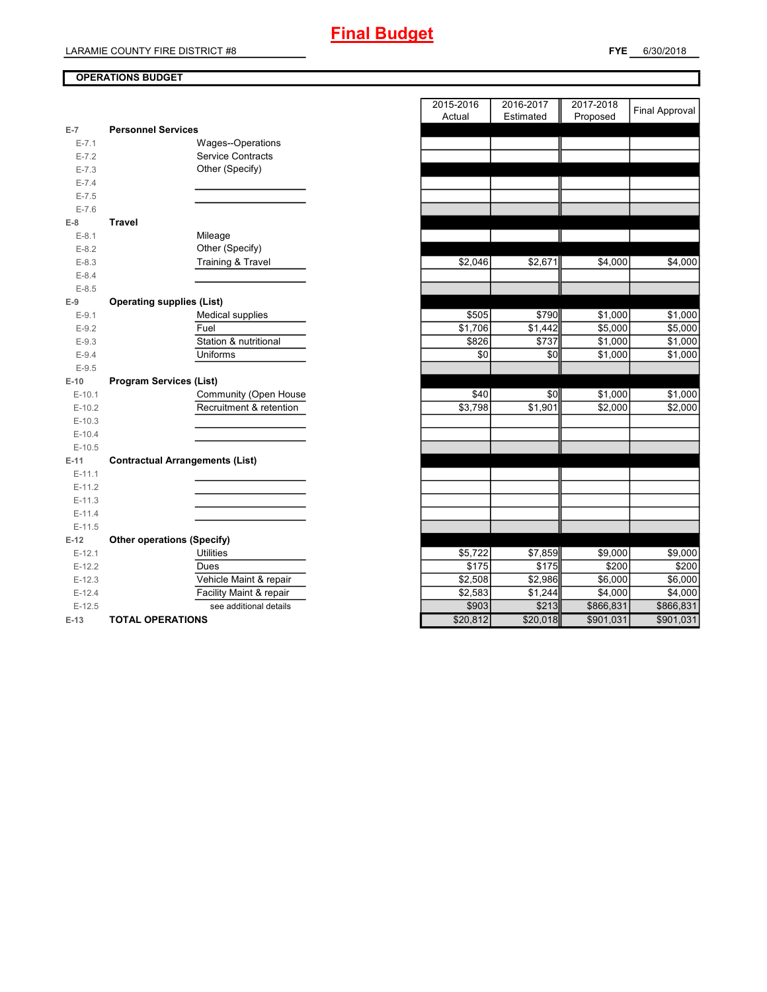# **OPERATIONS BUDGET**

| E-7       | <b>Personnel Services</b>              |
|-----------|----------------------------------------|
| $E - 7.1$ | Wages--Operations                      |
| $E - 7.2$ | <b>Service Contracts</b>               |
| $E - 7.3$ | Other (Specify)                        |
| $E - 7.4$ |                                        |
| $E - 7.5$ |                                        |
| $E - 7.6$ |                                        |
| E-8       | <b>Travel</b>                          |
| $E-8.1$   | Mileage                                |
| $E-8.2$   | Other (Specify)                        |
| $E-8.3$   | Training & Travel                      |
| $E-8.4$   |                                        |
| $E-8.5$   |                                        |
| $E-9$     | <b>Operating supplies (List)</b>       |
| $E-9.1$   | <b>Medical supplies</b>                |
| $E-9.2$   | Fuel                                   |
| $E-9.3$   | Station & nutritional                  |
| $E-9.4$   | Uniforms                               |
| $E-9.5$   |                                        |
| $E-10$    | <b>Program Services (List)</b>         |
| $E-10.1$  | Community (Open House                  |
| $E-10.2$  | Recruitment & retention                |
| $E-10.3$  |                                        |
| $E-10.4$  |                                        |
| $E-10.5$  |                                        |
| $E-11$    | <b>Contractual Arrangements (List)</b> |
| $E-11.1$  |                                        |
| $E-11.2$  |                                        |
| $E-11.3$  |                                        |
| $E-11.4$  |                                        |
| $E-11.5$  |                                        |
| $E-12$    | <b>Other operations (Specify)</b>      |
| $E-12.1$  | <b>Utilities</b>                       |
| $E-12.2$  | Dues                                   |
| $E-12.3$  | Vehicle Maint & repair                 |
| $E-12.4$  | Facility Maint & repair                |
| $E-12.5$  | see additional details                 |
|           |                                        |

|                |                                        | 2015-2016<br>Actual | 2016-2017<br>Estimated | 2017-2018<br>Proposed | <b>Final Approval</b> |
|----------------|----------------------------------------|---------------------|------------------------|-----------------------|-----------------------|
| $\overline{7}$ | <b>Personnel Services</b>              |                     |                        |                       |                       |
| $E - 7.1$      | Wages--Operations                      |                     |                        |                       |                       |
| $E - 7.2$      | <b>Service Contracts</b>               |                     |                        |                       |                       |
| $E - 7.3$      | Other (Specify)                        |                     |                        |                       |                       |
| $E - 7.4$      |                                        |                     |                        |                       |                       |
| $E - 7.5$      |                                        |                     |                        |                       |                       |
| $E - 7.6$      |                                        |                     |                        |                       |                       |
| 8              | <b>Travel</b>                          |                     |                        |                       |                       |
| $E-8.1$        | Mileage                                |                     |                        |                       |                       |
| $E-8.2$        | Other (Specify)                        |                     |                        |                       |                       |
| $E-8.3$        | <b>Training &amp; Travel</b>           | \$2,046             | \$2,671                | \$4,000               | \$4,000               |
| $E-8.4$        |                                        |                     |                        |                       |                       |
| $E-8.5$        |                                        |                     |                        |                       |                       |
| 9              | <b>Operating supplies (List)</b>       |                     |                        |                       |                       |
| $E-9.1$        | <b>Medical supplies</b>                | \$505               | \$790                  | \$1,000               | \$1,000               |
| $E-9.2$        | Fuel                                   | \$1,706             | \$1,442                | \$5,000               | \$5,000               |
| $E-9.3$        | Station & nutritional                  | \$826               | \$737                  | \$1,000               | \$1,000               |
| $E-9.4$        | Uniforms                               | \$0                 | \$0                    | \$1,000               | \$1,000               |
| $E-9.5$        |                                        |                     |                        |                       |                       |
| $-10$          | <b>Program Services (List)</b>         |                     |                        |                       |                       |
| $E-10.1$       | Community (Open House                  | \$40                | \$0                    | \$1,000               | \$1,000               |
| $E-10.2$       | Recruitment & retention                | \$3,798             | \$1,901                | \$2,000               | \$2,000               |
| $E-10.3$       |                                        |                     |                        |                       |                       |
| $E-10.4$       |                                        |                     |                        |                       |                       |
| $E-10.5$       |                                        |                     |                        |                       |                       |
| -11            | <b>Contractual Arrangements (List)</b> |                     |                        |                       |                       |
| $E-11.1$       |                                        |                     |                        |                       |                       |
| $E-11.2$       |                                        |                     |                        |                       |                       |
| $E-11.3$       |                                        |                     |                        |                       |                       |
| $E-11.4$       |                                        |                     |                        |                       |                       |
| $E-11.5$       |                                        |                     |                        |                       |                       |
| $-12$          | <b>Other operations (Specify)</b>      |                     |                        |                       |                       |
| $E-12.1$       | <b>Utilities</b>                       | \$5,722             | \$7,859                | \$9,000               | \$9,000               |
| $E-12.2$       | Dues                                   | \$175               | \$175                  | \$200                 | \$200                 |
| $E-12.3$       | Vehicle Maint & repair                 | \$2,508             | $\overline{$}2,986$    | \$6,000               | \$6,000               |
| $E-12.4$       | Facility Maint & repair                | \$2,583             | \$1,244                | \$4,000               | \$4,000               |
| $E-12.5$       | see additional details                 | \$903               | \$213                  | \$866,831             | \$866,831             |
| $-13$          | <b>TOTAL OPERATIONS</b>                | \$20,812            | \$20,018               | \$901,031             | \$901,031             |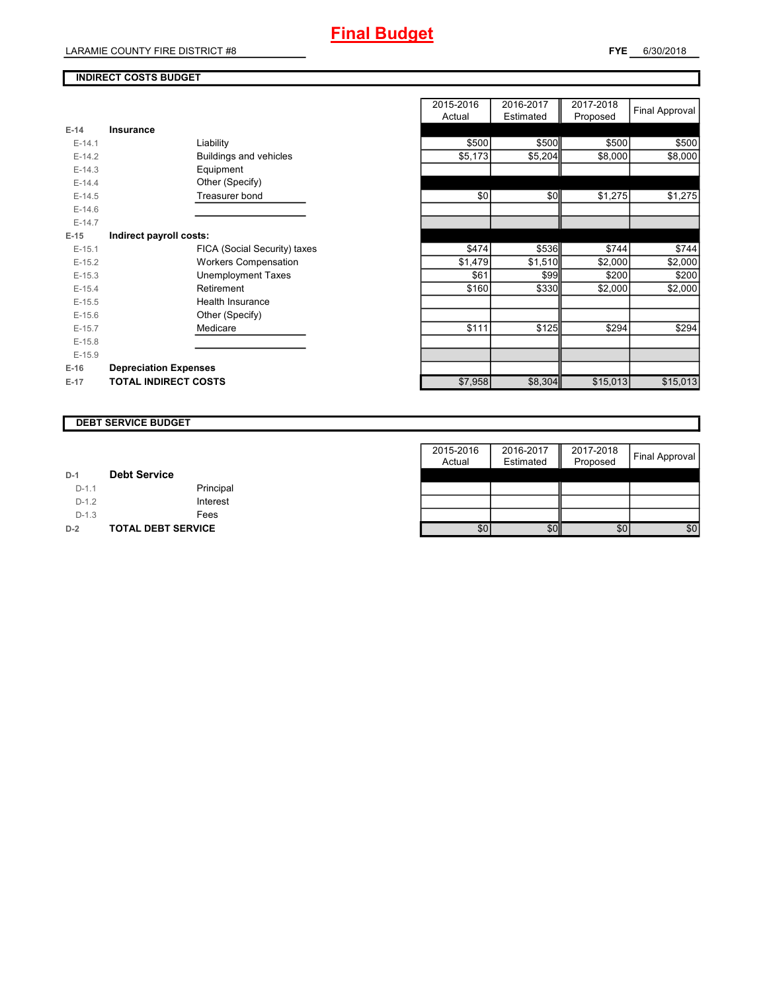# **INDIRECT COSTS BUDGET**

| $E-14$   | Insurance                     |
|----------|-------------------------------|
| $F-14.1$ | Liability                     |
| $E-14.2$ | <b>Buildings and vehicles</b> |
| $F-14.3$ | Equipment                     |
| $F-144$  | Other (Specify)               |
| $E-14.5$ | Treasurer bond                |
| $E-14.6$ |                               |
| $F-147$  |                               |
| $E-15$   | Indirect payroll costs:       |
| $F-151$  | FICA (Social Security) taxes  |
| $E-15.2$ | <b>Workers Compensation</b>   |
| $E-15.3$ | Unemployment Taxes            |
| $F-154$  | Retirement                    |
| $F-15.5$ | Health Insurance              |
| $E-15.6$ | Other (Specify)               |
| $E-15.7$ | Medicare                      |
| $F-15.8$ |                               |
| $E-15.9$ |                               |
| $E-16$   | <b>Depreciation Expenses</b>  |
| $E-17$   | <b>TOTAL INDIRECT COSTS</b>   |

|          |                               | 2015-2016<br>Actual | 2016-2017<br>Estimated | 2017-2018<br>Proposed | <b>Final Approval</b> |
|----------|-------------------------------|---------------------|------------------------|-----------------------|-----------------------|
| $E-14$   | <b>Insurance</b>              |                     |                        |                       |                       |
| $E-14.1$ | Liability                     | \$500               | \$500                  | \$500                 | \$500                 |
| $E-14.2$ | <b>Buildings and vehicles</b> | \$5,173             | \$5,204                | \$8,000               | \$8,000               |
| $E-14.3$ | Equipment                     |                     |                        |                       |                       |
| $E-14.4$ | Other (Specify)               |                     |                        |                       |                       |
| $E-14.5$ | Treasurer bond                | \$0                 | \$0                    | \$1,275               | \$1,275               |
| $E-14.6$ |                               |                     |                        |                       |                       |
| $E-14.7$ |                               |                     |                        |                       |                       |
| $E-15$   | Indirect payroll costs:       |                     |                        |                       |                       |
| $E-15.1$ | FICA (Social Security) taxes  | \$474               | \$536                  | \$744                 | \$744                 |
| $E-15.2$ | <b>Workers Compensation</b>   | \$1,479             | \$1,510                | \$2,000               | \$2,000               |
| $E-15.3$ | <b>Unemployment Taxes</b>     | \$61                | <b>\$99</b>            | \$200                 | \$200                 |
| $E-15.4$ | Retirement                    | \$160               | \$330                  | \$2,000               | \$2,000               |
| $E-15.5$ | <b>Health Insurance</b>       |                     |                        |                       |                       |
| $E-15.6$ | Other (Specify)               |                     |                        |                       |                       |
| $E-15.7$ | Medicare                      | \$111               | \$125                  | \$294                 | \$294                 |
| $E-15.8$ |                               |                     |                        |                       |                       |
| $E-15.9$ |                               |                     |                        |                       |                       |
| E-16     | <b>Depreciation Expenses</b>  |                     |                        |                       |                       |
| $E-17$   | <b>TOTAL INDIRECT COSTS</b>   | \$7,958             | \$8,304                | \$15,013              | \$15,013              |
|          |                               |                     |                        |                       |                       |

#### **DEBT SERVICE BUDGET**

|         |                           | 2015-2016 | Ш<br>2016-2017 | 2017-2018 |                       |
|---------|---------------------------|-----------|----------------|-----------|-----------------------|
|         |                           | Actual    | Estimated      | Proposed  | <b>Final Approval</b> |
| $D-1$   | <b>Debt Service</b>       |           |                |           |                       |
| $D-1.1$ | Principal                 |           |                |           |                       |
| $D-1.2$ | Interest                  |           |                |           |                       |
| $D-1.3$ | Fees                      |           |                |           |                       |
| $D-2$   | <b>TOTAL DEBT SERVICE</b> | \$0       | \$0            | \$0       | \$0                   |